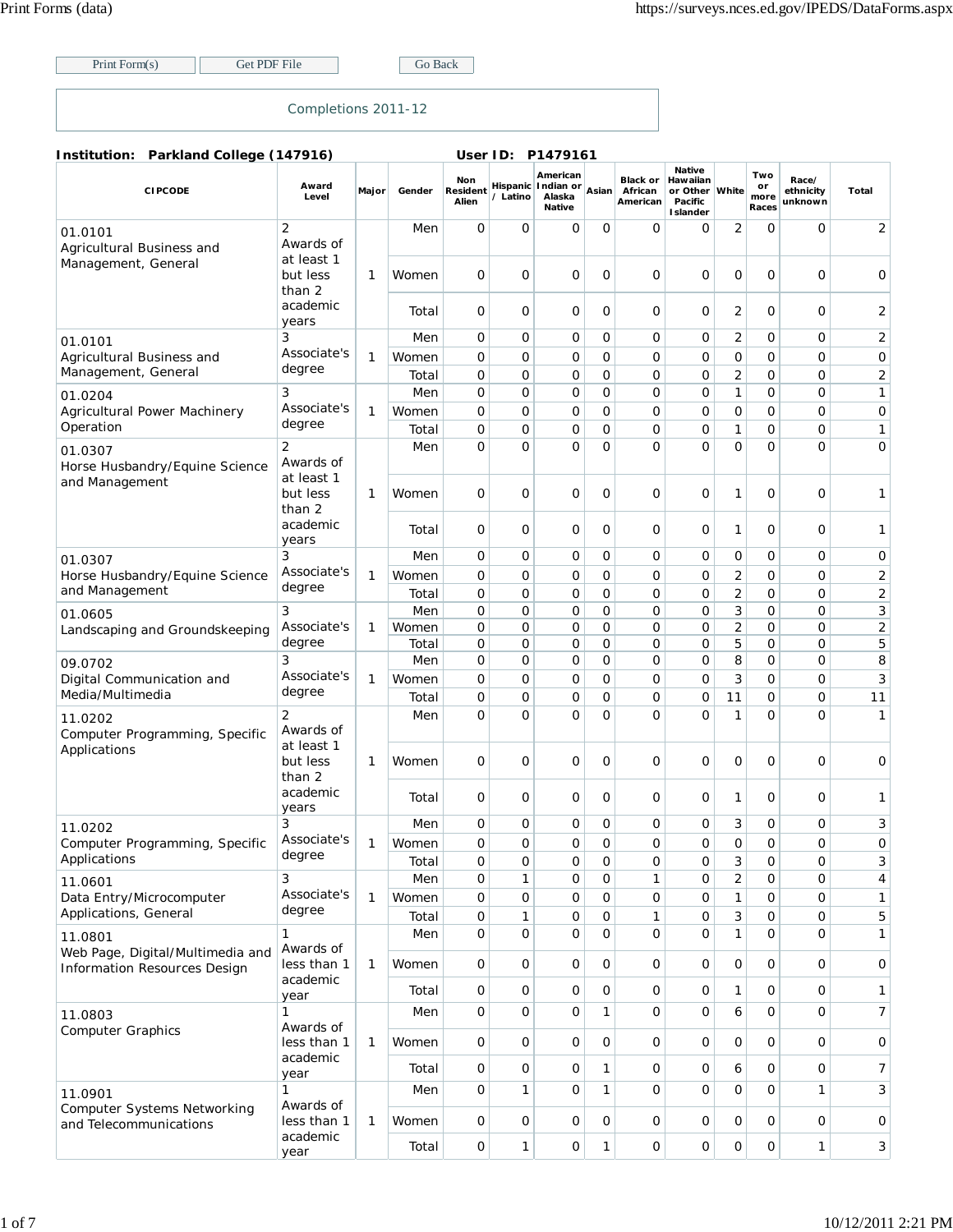Print Form(s) Get PDF File Go Back

## Completions 2011-12

**Institution: Parkland College (147916) User ID: P1479161**

| <b>CIPCODE</b>                                                   | Award<br>Level                            | Major        | Gender         | Non<br>Resident<br>Alien   | / Latino | American<br>Hispanic Indian or<br>Alaska<br><b>Native</b> | Asian            | <b>Black or</b><br>African<br>American | <b>Native</b><br>Hawaiian<br>or Other White<br>Pacific<br>I slander |                     | Two<br>or<br>more<br>Races | Race/<br>ethnicity<br>unknown | Total          |
|------------------------------------------------------------------|-------------------------------------------|--------------|----------------|----------------------------|----------|-----------------------------------------------------------|------------------|----------------------------------------|---------------------------------------------------------------------|---------------------|----------------------------|-------------------------------|----------------|
| 01.0101<br>Agricultural Business and                             | $\overline{2}$<br>Awards of<br>at least 1 |              | Men            | 0                          | 0        | 0                                                         | $\Omega$         | $\Omega$                               | 0                                                                   | 2                   | 0                          | 0                             | 2              |
| Management, General                                              | but less<br>than 2                        | $\mathbf{1}$ | Women          | 0                          | 0        | 0                                                         | 0                | 0                                      | O                                                                   | 0                   | 0                          | 0                             | 0              |
|                                                                  | academic<br>years                         |              | Total          | 0                          | 0        | 0                                                         | 0                | 0                                      | 0                                                                   | 2                   | 0                          | 0                             | 2              |
| 01.0101                                                          | 3                                         |              | Men            | 0                          | 0        | 0                                                         | 0                | $\overline{O}$                         | 0                                                                   | 2                   | 0                          | 0                             | $\overline{2}$ |
| Agricultural Business and<br>Management, General                 | Associate's<br>degree                     | 1            | Women<br>Total | $\mathbf 0$<br>$\mathbf 0$ | 0<br>0   | 0<br>0                                                    | 0<br>0           | $\mathbf 0$<br>O                       | 0<br>0                                                              | 0<br>2              | 0<br>0                     | 0<br>0                        | 0<br>2         |
| 01.0204                                                          | 3                                         |              | Men            | 0                          | 0        | 0                                                         | 0                | $\mathbf{O}$                           | 0                                                                   | 1                   | 0                          | 0                             | $\mathbf{1}$   |
| Agricultural Power Machinery<br>Operation                        | Associate's<br>degree                     | 1            | Women          | 0                          | 0        | 0                                                         | 0                | $\mathbf{O}$                           | 0                                                                   | 0                   | 0                          | 0                             | 0              |
|                                                                  |                                           |              | Total          | 0                          | 0        | 0                                                         | 0                | $\mathbf{O}$                           | 0                                                                   | 1                   | 0                          | 0                             | $\mathbf{1}$   |
| 01.0307<br>Horse Husbandry/Equine Science<br>and Management      | $\overline{2}$<br>Awards of<br>at least 1 |              | Men            | 0                          | 0        | 0                                                         | 0                | O                                      | 0                                                                   | 0                   | 0                          | 0                             | 0              |
|                                                                  | but less<br>than 2<br>academic            | 1            | Women          | 0                          | 0        | 0                                                         | 0                | $\mathbf 0$                            | 0                                                                   | 1                   | 0                          | 0                             | 1              |
|                                                                  | years                                     |              | Total          | 0                          | 0        | 0                                                         | 0                | $\Omega$                               | 0                                                                   | 1                   | 0                          | 0                             | $\mathbf{1}$   |
| 01.0307                                                          | 3<br>Associate's                          |              | Men            | 0                          | 0        | 0                                                         | 0                | O                                      | 0                                                                   | 0                   | 0                          | 0                             | 0              |
| Horse Husbandry/Equine Science                                   | degree                                    | $\mathbf{1}$ | Women          | $\mathbf 0$                | 0        | 0                                                         | 0                | $\mathbf 0$                            | O                                                                   | $\overline{2}$      | 0                          | 0                             | 2              |
| and Management                                                   |                                           |              | Total          | 0                          | 0        | 0                                                         | 0                | $\overline{O}$                         | 0                                                                   | $\overline{2}$      | 0                          | $\mathbf 0$                   | 2              |
| 01.0605                                                          | 3<br>Associate's                          |              | Men            | 0<br>0                     | 0<br>0   | 0<br>0                                                    | $\mathbf 0$<br>0 | $\mathbf{O}$<br>$\overline{O}$         | 0<br>O                                                              | 3<br>$\overline{2}$ | 0<br>0                     | 0<br>$\mathbf 0$              | 3              |
| Landscaping and Groundskeeping                                   | degree                                    | 1            | Women<br>Total | 0                          | 0        | 0                                                         | 0                | 0                                      | 0                                                                   | 5                   | 0                          | 0                             | 2<br>5         |
|                                                                  | 3                                         |              | Men            | 0                          | 0        | 0                                                         | 0                | O                                      | 0                                                                   | 8                   | 0                          | 0                             | 8              |
| 09.0702<br>Digital Communication and                             | Associate's                               | 1            | Women          | 0                          | 0        | 0                                                         | 0                | O                                      | O                                                                   | 3                   | 0                          | 0                             | 3              |
| Media/Multimedia                                                 | degree                                    |              | Total          | $\overline{0}$             | 0        | 0                                                         | 0                | O                                      | 0                                                                   | 11                  | 0                          | 0                             | 11             |
| 11.0202<br>Computer Programming, Specific                        | 2<br>Awards of                            |              | Men            | 0                          | 0        | O                                                         | $\Omega$         | $\Omega$                               | O                                                                   | 1                   | 0                          | $\Omega$                      | $\mathbf{1}$   |
| Applications                                                     | at least 1<br>but less<br>than 2          | 1            | Women          | 0                          | 0        | 0                                                         | 0                | 0                                      | 0                                                                   | 0                   | 0                          | 0                             | 0              |
|                                                                  | academic<br>years                         |              | Total          | 0                          | 0        | 0                                                         | 0                | 0                                      | 0                                                                   | 1                   | 0                          | 0                             | 1              |
| 11.0202                                                          | 3                                         |              | Men            | 0                          | 0        | 0                                                         | 0                | O                                      | 0                                                                   | 3                   | 0                          | 0                             | 3              |
| Computer Programming, Specific                                   | Associate's                               | 1            | Women          | 0                          | 0        | 0                                                         | 0                | 0                                      | 0                                                                   | 0                   | 0                          | 0                             | 0              |
| Applications                                                     | degree                                    |              | Total          | 0                          | 0        | $\mathsf{O}\xspace$                                       | 0                | 0                                      | 0                                                                   | 3                   | 0                          | 0                             | 3              |
| 11.0601                                                          | 3                                         |              | Men            | 0                          | 1        | 0                                                         | 0                | 1                                      | 0                                                                   | 2                   | 0                          | 0                             | $\overline{4}$ |
| Data Entry/Microcomputer                                         | Associate's                               | $\mathbf{1}$ | Women          | 0                          | 0        | $\mathsf O$                                               | $\mathbf 0$      | $\mathsf O$                            | 0                                                                   | 1                   | 0                          | 0                             | $\mathbf{1}$   |
| Applications, General                                            | degree                                    |              | Total          | $\mathsf{O}$               | 1        | 0                                                         | 0                | $\mathbf{1}$                           | 0                                                                   | 3                   | 0                          | 0                             | 5              |
| 11.0801                                                          | 1<br>Awards of                            |              | Men            | $\mathsf{O}$               | 0        | $\mathsf{O}$                                              | $\mathbf{O}$     | $\mathbf 0$                            | 0                                                                   | 1                   | 0                          | $\mathbf{O}$                  | $\mathbf{1}$   |
| Web Page, Digital/Multimedia and<br>Information Resources Design | less than 1                               | $\mathbf{1}$ | Women          | 0                          | 0        | $\mathsf O$                                               | 0                | 0                                      | 0                                                                   | 0                   | 0                          | 0                             | 0              |
|                                                                  | academic<br>year                          |              | Total          | $\mathsf{O}$               | 0        | 0                                                         | $\mathbf 0$      | $\mathbf 0$                            | 0                                                                   | 1                   | 0                          | 0                             | $\mathbf{1}$   |
| 11.0803<br><b>Computer Graphics</b>                              | 1<br>Awards of                            |              | Men            | 0                          | 0        | $\mathsf O$                                               | $\mathbf{1}$     | 0                                      | 0                                                                   | 6                   | 0                          | 0                             | $\overline{7}$ |
|                                                                  | less than 1<br>academic                   | 1            | Women          | 0                          | 0        | 0                                                         | 0                | 0                                      | 0                                                                   | 0                   | 0                          | 0                             | 0              |
|                                                                  | year                                      |              | Total          | 0                          | 0        | 0                                                         | 1                | $\mathbf 0$                            | 0                                                                   | 6                   | 0                          | 0                             | 7              |
| 11.0901                                                          | 1<br>Awards of                            |              | Men            | 0                          | 1        | $\mathsf{O}$                                              | 1                | $\mathbf 0$                            | 0                                                                   | 0                   | 0                          | 1                             | 3              |
| <b>Computer Systems Networking</b><br>and Telecommunications     | less than 1                               | $\mathbf{1}$ | Women          | 0                          | 0        | $\mathsf{O}$                                              | $\mathbf 0$      | $\mathbf 0$                            | 0                                                                   | $\mathbf{O}$        | 0                          | 0                             | 0              |
|                                                                  | academic<br>year                          |              | Total          | $\mathsf{O}$               | 1        | $\mathsf{O}\xspace$                                       | 1                | 0                                      | 0                                                                   | 0                   | 0                          | 1                             | 3              |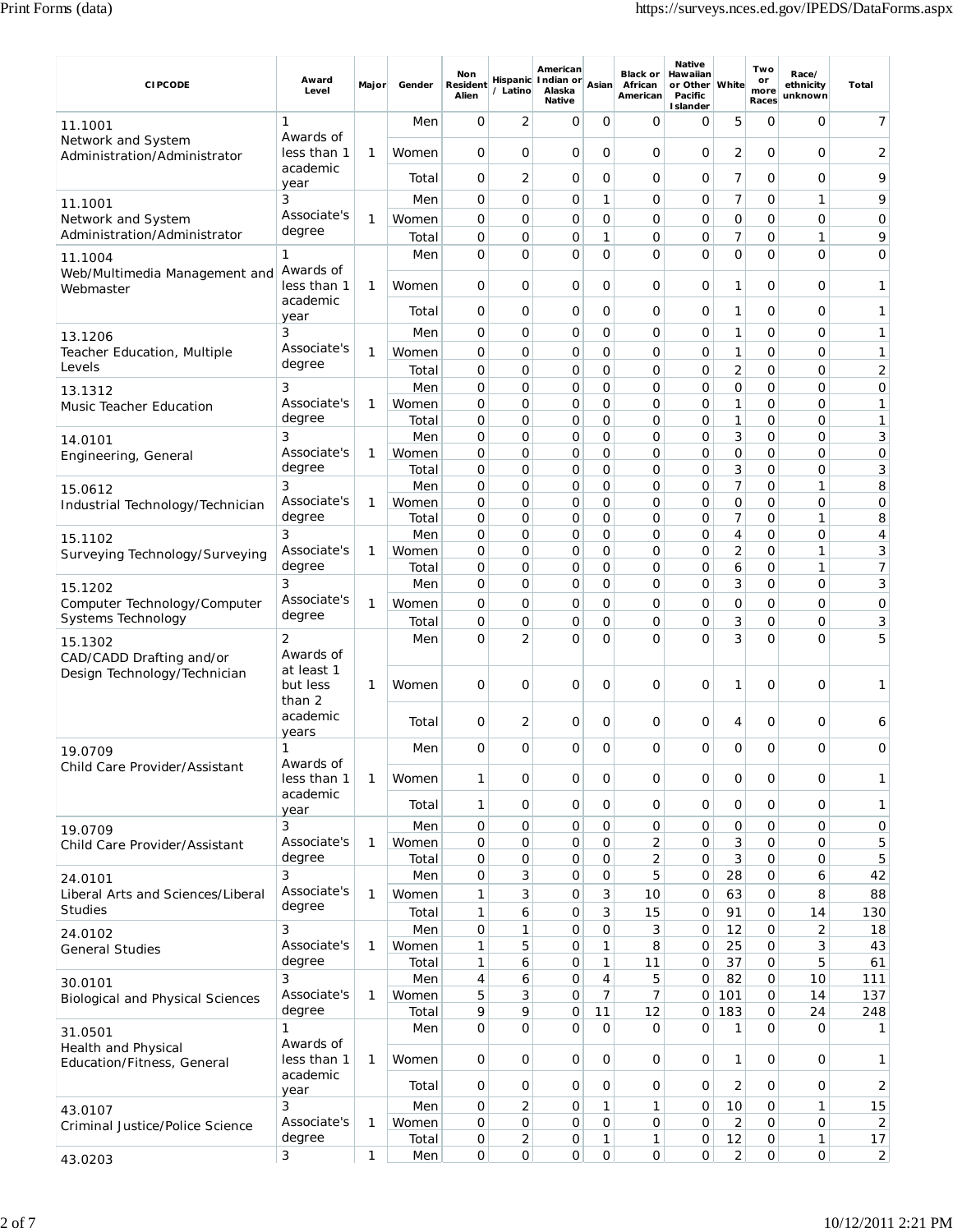| <b>CIPCODE</b>                                           | Award<br>Level                       | Major | Gender         | Non<br><b>Resident</b><br>Alien | / Latino            | American<br>Hispanic Indian or<br>Alaska<br><b>Native</b> | Asian             | <b>Black or</b><br>African<br>American | <b>Native</b><br>Hawaiian<br>or Other White<br>Pacific<br><b>I</b> slander |                      | Two<br>or<br>more<br>Races | Race/<br>ethnicity<br>unknown | Total                |
|----------------------------------------------------------|--------------------------------------|-------|----------------|---------------------------------|---------------------|-----------------------------------------------------------|-------------------|----------------------------------------|----------------------------------------------------------------------------|----------------------|----------------------------|-------------------------------|----------------------|
| 11.1001                                                  | 1                                    |       | Men            | 0                               | 2                   | 0                                                         | 0                 | O                                      | O                                                                          | 5                    | 0                          | O                             | 7                    |
| Network and System<br>Administration/Administrator       | Awards of<br>less than 1             | 1     | Women          | 0                               | 0                   | 0                                                         | 0                 | 0                                      | 0                                                                          | 2                    | 0                          | $\mathbf 0$                   | $\overline{2}$       |
|                                                          | academic<br>year                     |       | Total          | 0                               | 2                   | 0                                                         | 0                 | O                                      | 0                                                                          | 7                    | 0                          | 0                             | 9                    |
| 11.1001                                                  | 3                                    |       | Men            | 0                               | 0                   | 0                                                         | 1                 | O                                      | 0                                                                          | 7                    | 0                          | 1                             | 9                    |
| Network and System<br>Administration/Administrator       | Associate's<br>degree                | 1     | Women<br>Total | 0<br>0                          | 0<br>0              | 0<br>0                                                    | 0<br>1            | O<br>O                                 | O<br>O                                                                     | 0<br>7               | 0<br>0                     | 0<br>1                        | 0<br>9               |
| 11.1004                                                  | 1                                    |       | Men            | 0                               | 0                   | 0                                                         | 0                 | O                                      | O                                                                          | $\mathbf 0$          | 0                          | 0                             | $\mathbf 0$          |
| Web/Multimedia Management and<br>Webmaster               | Awards of<br>less than 1             | 1     | Women          | 0                               | 0                   | 0                                                         | 0                 | 0                                      | 0                                                                          | 1                    | 0                          | 0                             | 1                    |
|                                                          | academic<br>year                     |       | Total          | 0                               | 0                   | 0                                                         | 0                 | 0                                      | 0                                                                          | 1                    | 0                          | 0                             | 1                    |
| 13.1206                                                  | 3<br>Associate's                     |       | Men            | 0                               | 0                   | 0                                                         | 0                 | O                                      | 0                                                                          | 1                    | 0                          | 0                             | 1                    |
| Teacher Education, Multiple<br>Levels                    | degree                               | 1     | Women<br>Total | 0<br>0                          | 0<br>0              | 0<br>0                                                    | $\mathbf 0$<br>0  | 0<br>0                                 | O<br>0                                                                     | 1<br>2               | 0<br>0                     | 0<br>0                        | 1<br>2               |
| 13.1312                                                  | 3                                    |       | Men            | 0                               | 0                   | 0                                                         | 0                 | $\overline{O}$                         | O                                                                          | $\mathbf 0$          | 0                          | 0                             | 0                    |
| <b>Music Teacher Education</b>                           | Associate's<br>degree                | 1     | Women<br>Total | 0<br>0                          | 0<br>0              | 0<br>0                                                    | 0<br>0            | 0<br>O                                 | 0<br>0                                                                     | 1<br>1               | 0<br>0                     | 0<br>0                        | 1<br>1               |
| 14.0101                                                  | 3<br>Associate's                     |       | Men            | 0<br>0                          | 0<br>O              | 0<br>0                                                    | 0<br>$\mathbf{O}$ | 0<br>$\mathbf{O}$                      | 0<br>O                                                                     | 3<br>0               | 0<br>0                     | 0<br>0                        | 3<br>$\mathbf 0$     |
| Engineering, General                                     | degree                               | 1     | Women<br>Total | 0                               | 0                   | 0                                                         | 0                 | 0                                      | 0                                                                          | 3                    | 0                          | 0                             | 3                    |
| 15.0612                                                  | 3<br>Associate's                     |       | Men            | 0<br>0                          | 0<br>0              | 0<br>0                                                    | 0<br>0            | $\mathbf{O}$<br>0                      | 0                                                                          | 7<br>0               | 0<br>0                     | 1<br>0                        | 8<br>$\mathbf 0$     |
| Industrial Technology/Technician                         | degree                               | 1     | Women<br>Total | 0                               | 0                   | 0                                                         | 0                 | $\mathbf{O}$                           | 0<br>0                                                                     | 7                    | 0                          | 1                             | 8                    |
| 15.1102                                                  | 3                                    |       | Men            | 0                               | 0                   | 0                                                         | 0                 | 0                                      | 0                                                                          | 4                    | 0                          | 0                             | 4                    |
| Surveying Technology/Surveying                           | Associate's<br>degree                | 1     | Women<br>Total | 0<br>0                          | 0<br>0              | 0<br>0                                                    | 0<br>0            | O<br>0                                 | 0<br>0                                                                     | 2<br>6               | 0<br>0                     | 1<br>1                        | 3<br>7               |
| 15.1202                                                  | 3                                    |       | Men            | 0                               | 0                   | 0                                                         | 0                 | 0                                      | 0                                                                          | 3                    | 0                          | 0                             | 3                    |
| Computer Technology/Computer<br>Systems Technology       | Associate's<br>degree                | 1     | Women          | 0                               | 0                   | 0                                                         | 0                 | 0                                      | 0                                                                          | 0                    | 0                          | 0                             | $\mathbf 0$          |
| 15.1302                                                  | 2                                    |       | Total<br>Men   | 0<br>0                          | 0<br>$\overline{2}$ | 0<br>0                                                    | 0<br>O            | 0<br>0                                 | 0<br>O                                                                     | 3<br>3               | 0<br>0                     | 0<br>$\Omega$                 | 3<br>5               |
| CAD/CADD Drafting and/or<br>Design Technology/Technician | Awards of<br>at least 1<br>but less  | 1     | Women          | 0                               | 0                   | 0                                                         | $\mathbf 0$       | 0                                      | O                                                                          | 1                    | 0                          | 0                             | 1                    |
|                                                          | than 2<br>academic<br>years          |       | Total          | 0                               | 2                   | 0                                                         | 0                 | 0                                      | 0                                                                          | 4                    | 0                          | 0                             | 6                    |
| 19.0709                                                  | 1                                    |       | Men            | 0                               | 0                   | 0                                                         | O                 | U                                      | O                                                                          | O                    | 0                          | 0                             | O                    |
| Child Care Provider/Assistant                            | Awards of<br>less than 1<br>academic | 1     | Women          | 1                               | 0                   | 0                                                         | $\mathbf{O}$      | 0                                      | 0                                                                          | $\mathbf 0$          | 0                          | $\mathbf 0$                   | 1                    |
|                                                          | year                                 |       | Total          | 1                               | 0                   | 0                                                         | $\mathbf 0$       | $\mathbf{O}$                           | 0                                                                          | $\mathbf 0$          | 0                          | 0                             | 1                    |
| 19.0709<br>Child Care Provider/Assistant                 | 3<br>Associate's                     | 1     | Men<br>Women   | 0<br>0                          | 0<br>0              | 0<br>0                                                    | $\mathsf{O}$<br>0 | 0<br>$\overline{2}$                    | 0<br>0                                                                     | 0<br>3               | 0<br>0                     | 0<br>0                        | 0<br>5               |
|                                                          | degree                               |       | Total          | 0                               | 0                   | 0                                                         | $\mathbf 0$       | 2                                      | 0                                                                          | 3                    | 0                          | 0                             | 5                    |
| 24.0101                                                  | 3<br>Associate's                     |       | Men            | 0                               | 3                   | 0                                                         | 0                 | 5                                      | 0                                                                          | 28                   | 0                          | 6                             | 42                   |
| Liberal Arts and Sciences/Liberal<br><b>Studies</b>      | degree                               | 1     | Women<br>Total | 1<br>1                          | 3<br>6              | 0<br>0                                                    | 3<br>3            | 10<br>15                               | 0<br>0                                                                     | 63<br>91             | 0<br>0                     | 8<br>14                       | 88<br>130            |
| 24.0102                                                  | 3                                    |       | Men            | 0                               | 1                   | 0                                                         | 0                 | 3                                      | 0                                                                          | 12                   | 0                          | $\overline{2}$                | 18                   |
| <b>General Studies</b>                                   | Associate's<br>degree                | 1     | Women<br>Total | 1<br>1                          | 5<br>6              | 0<br>$\circ$                                              | 1<br>1            | 8<br>11                                | 0<br>0                                                                     | 25<br>37             | 0<br>0                     | 3<br>5                        | 43<br>61             |
| 30.0101                                                  | 3                                    |       | Men            | 4                               | 6                   | 0                                                         | 4                 | 5                                      | 0                                                                          | 82                   | 0                          | 10                            | 111                  |
| <b>Biological and Physical Sciences</b>                  | Associate's<br>degree                | 1     | Women          | 5<br>9                          | 3<br>9              | 0                                                         | 7<br>11           | 7                                      | 0                                                                          | 101<br>183           | 0                          | 14                            | 137                  |
| 31.0501                                                  | 1                                    |       | Total<br>Men   | 0                               | 0                   | 0<br>0                                                    | $\mathbf 0$       | 12<br>0                                | $\overline{0}$<br>0                                                        | 1                    | 0<br>0                     | 24<br>0                       | 248<br>1             |
| Health and Physical<br>Education/Fitness, General        | Awards of<br>less than 1             | 1     | Women          | 0                               | 0                   | 0                                                         | $\mathbf 0$       | $\mathbf{O}$                           | 0                                                                          | 1                    | 0                          | $\mathbf 0$                   | 1                    |
|                                                          | academic<br>year                     |       | Total          | 0                               | 0                   | 0                                                         | $\mathbf 0$       | 0                                      | 0                                                                          | 2                    | 0                          | 0                             | 2                    |
| 43.0107                                                  | 3                                    |       | Men            | 0                               | 2                   | 0                                                         | 1                 | 1                                      | 0                                                                          | 10                   | 0                          | 1                             | 15                   |
| Criminal Justice/Police Science                          | Associate's<br>degree                | 1     | Women<br>Total | 0<br>0                          | 0<br>$\overline{2}$ | 0<br>$\circ$                                              | 0<br>1            | 0<br>1                                 | 0<br>0                                                                     | $\overline{2}$<br>12 | 0<br>0                     | 0<br>1                        | $\overline{2}$<br>17 |
| 43.0203                                                  | 3                                    | 1     | Men            | $\mathsf{O}$                    | 0                   | $\overline{O}$                                            | $\mathbf 0$       | 0                                      | $\overline{O}$                                                             | 2                    | 0                          | $\mathsf{O}$                  | $\overline{2}$       |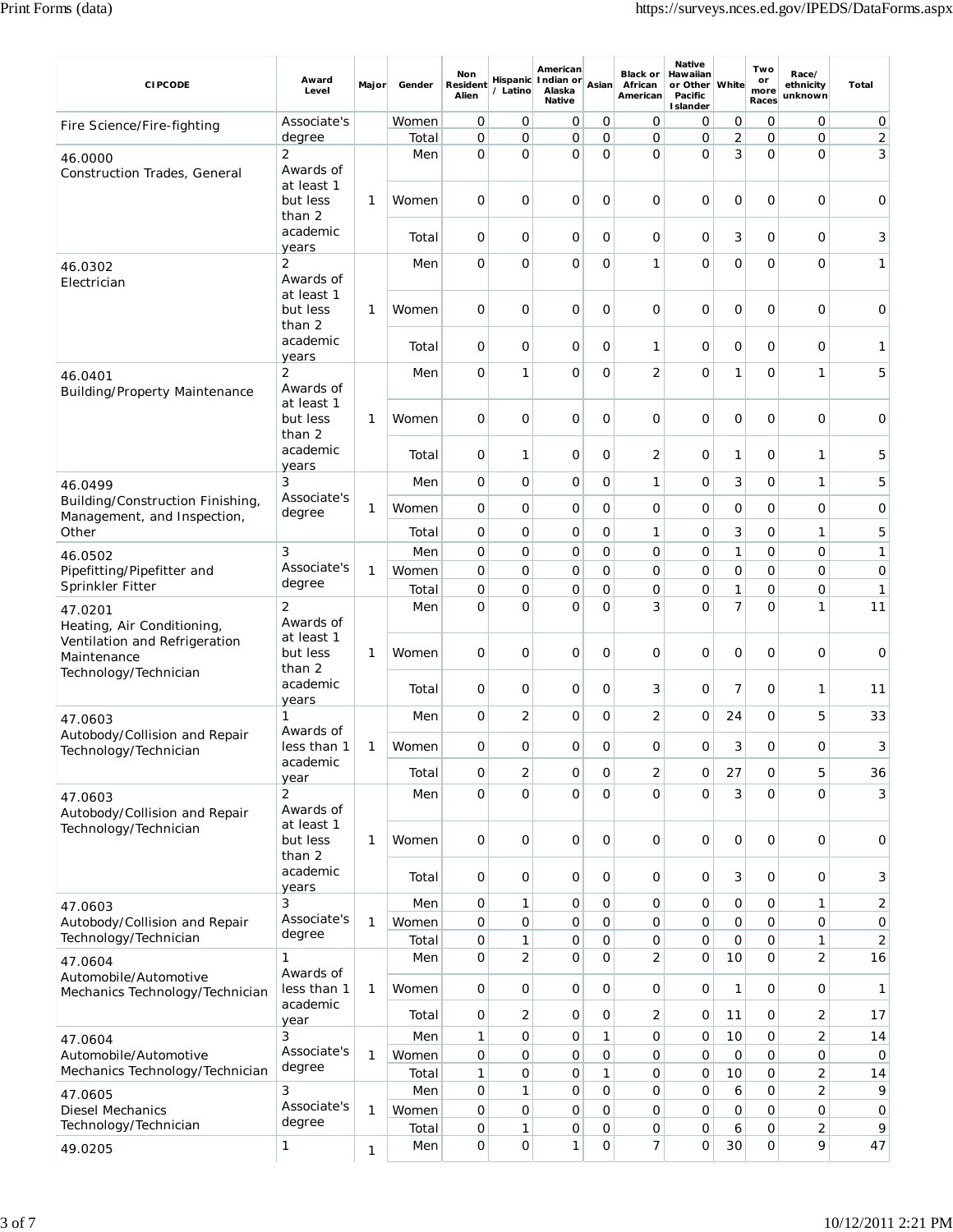| <b>CIPCODE</b>                                                                        | Award<br>Level                           | Major        | Gender         | Non<br><b>Resident</b><br>Alien | / Latino            | American<br>Hispanic Indian or<br>Alaska<br><b>Native</b> | Asian               | <b>Black or</b><br>African<br>American | <b>Native</b><br>Hawaiian<br>or Other<br>Pacific<br><b>I</b> slander | White          | Two<br>or<br>more<br>Races    | Race/<br>ethnicity<br>unknown | Total   |
|---------------------------------------------------------------------------------------|------------------------------------------|--------------|----------------|---------------------------------|---------------------|-----------------------------------------------------------|---------------------|----------------------------------------|----------------------------------------------------------------------|----------------|-------------------------------|-------------------------------|---------|
| Fire Science/Fire-fighting                                                            | Associate's                              |              | Women          | 0                               | 0                   | 0                                                         | 0                   | 0                                      | 0                                                                    | 0              | 0                             | 0                             | 0       |
|                                                                                       | degree                                   |              | Total          | $\mathbf 0$                     | 0                   | $\mathbf{O}$                                              | O                   | 0                                      | 0                                                                    | $\overline{2}$ | 0                             | 0                             | 2       |
| 46.0000<br>Construction Trades, General                                               | 2<br>Awards of<br>at least 1             |              | Men            | $\mathbf{O}$                    | O                   | $\mathbf{O}$                                              | $\Omega$            | O                                      | 0                                                                    | 3              | O                             | 0                             | 3       |
|                                                                                       | but less<br>than 2<br>academic           | 1            | Women<br>Total | 0<br>0                          | 0<br>0              | 0<br>0                                                    | 0<br>0              | 0<br>0                                 | 0<br>0                                                               | 0<br>3         | O<br>$\mathbf 0$              | 0<br>0                        | 0<br>3  |
| 46.0302                                                                               | years<br>$\overline{2}$                  |              | Men            | 0                               | 0                   | $\overline{O}$                                            | $\overline{O}$      | $\mathbf{1}$                           | 0                                                                    | $\overline{0}$ | $\overline{O}$                | $\mathbf 0$                   | 1       |
| Electrician                                                                           | Awards of<br>at least 1<br>but less      | 1            | Women          | 0                               | 0                   | $\mathbf 0$                                               | O                   | 0                                      | 0                                                                    | $\overline{O}$ | $\mathbf 0$                   | 0                             | 0       |
|                                                                                       | than 2<br>academic<br>years              |              | Total          | 0                               | 0                   | 0                                                         | 0                   | $\mathbf 1$                            | 0                                                                    | $\mathbf 0$    | $\overline{O}$                | 0                             | 1       |
| 46.0401<br><b>Building/Property Maintenance</b>                                       | 2<br>Awards of<br>at least 1             |              | Men            | 0                               | 1                   | $\mathbf 0$                                               | $\overline{O}$      | $\overline{2}$                         | 0                                                                    | 1              | O                             | 1                             | 5       |
|                                                                                       | but less<br>than 2                       | 1            | Women          | 0                               | 0                   | $\mathbf 0$                                               | $\overline{O}$      | 0                                      | 0                                                                    | $\overline{0}$ | $\overline{0}$                | $\overline{0}$                | 0       |
|                                                                                       | academic<br>years                        |              | Total          | 0                               | 1                   | 0                                                         | O                   | 2                                      | 0                                                                    | 1              | O                             | 1                             | 5       |
| 46.0499<br>Building/Construction Finishing,                                           | 3<br>Associate's                         |              | Men            | 0                               | 0                   | $\mathbf 0$                                               | $\mathbf 0$         | $\mathbf{1}$                           | 0                                                                    | 3              | $\overline{O}$                | 1                             | 5       |
| Management, and Inspection,                                                           | degree                                   | 1            | Women          | 0                               | 0                   | 0                                                         | O                   | 0                                      | 0                                                                    | $\mathbf 0$    | $\overline{O}$                | 0                             | 0       |
| Other                                                                                 |                                          |              | Total          | 0                               | 0                   | 0                                                         | O                   | $\mathbf 1$                            | 0                                                                    | 3              | $\mathbf 0$                   | 1                             | 5       |
| 46.0502                                                                               | 3<br>Associate's                         |              | Men            | 0                               | 0                   | 0                                                         | $\overline{O}$      | 0                                      | 0                                                                    | 1              | $\mathbf 0$                   | 0                             | 1       |
| Pipefitting/Pipefitter and                                                            | degree                                   | 1            | Women          | 0                               | $\mathsf{O}$        | 0                                                         | $\overline{O}$      | 0                                      | 0                                                                    | $\overline{0}$ | $\mathbf 0$                   | 0                             | 0       |
| Sprinkler Fitter                                                                      |                                          |              | Total          | 0                               | 0                   | 0                                                         | $\overline{O}$      | 0                                      | 0                                                                    | 1              | 0                             | 0                             | 1       |
| 47.0201<br>Heating, Air Conditioning,<br>Ventilation and Refrigeration<br>Maintenance | 2<br>Awards of<br>at least 1<br>but less | 1            | Men<br>Women   | 0<br>0                          | 0<br>0              | 0<br>0                                                    | $\overline{O}$<br>0 | 3<br>0                                 | 0<br>0                                                               | 7<br>O         | O<br>O                        | 1<br>0                        | 11<br>0 |
| Technology/Technician                                                                 | than 2<br>academic<br>years              |              | Total          | 0                               | 0                   | $\mathbf 0$                                               | O                   | 3                                      | 0                                                                    | 7              | 0                             | 1                             | 11      |
| 47.0603                                                                               | 1                                        |              | Men            | 0                               | 2                   | 0                                                         | $\overline{O}$      | 2                                      | 0                                                                    | 24             | O                             | 5                             | 33      |
| Autobody/Collision and Repair<br>Technology/Technician                                | Awards of<br>less than 1                 | $\mathbf{1}$ | Women          | 0                               | 0                   | 0                                                         | 0                   | 0                                      | 0                                                                    | 3              | 0                             | 0                             | 3       |
|                                                                                       | academic<br>year                         |              | Total          | 0                               | 2                   | 0                                                         | 0                   | $\overline{2}$                         | 0                                                                    | 27             | $\mathbf 0$                   | 5                             | 36      |
| 47.0603<br>Autobody/Collision and Repair                                              | 2<br>Awards of<br>at least 1             |              | Men            | $\mathbf 0$                     | $\mathbf{O}$        | $\mathbf{O}$                                              | $\mathbf 0$         | 0                                      | 0                                                                    | 3              | $\mathbf{O}$                  | $\mathbf 0$                   | 3       |
| Technology/Technician                                                                 | but less<br>than 2                       | 1            | Women          | $\mathsf O$                     | $\mathbf 0$         | 0                                                         | 0                   | $\mathbf{O}$                           | 0                                                                    | $\mathbf 0$    | $\overline{O}$                | $\mathbf 0$                   | 0       |
|                                                                                       | academic<br>years                        |              | Total          | 0                               | 0                   | 0                                                         | 0                   | 0                                      | 0                                                                    | 3              | $\mathbf 0$                   | 0                             | 3       |
| 47.0603                                                                               | 3                                        |              | Men            | 0                               | 1                   | 0                                                         | 0                   | 0                                      | 0                                                                    | $\mathbf 0$    | $\mathbf 0$                   | 1                             | 2       |
| Autobody/Collision and Repair<br>Technology/Technician                                | Associate's<br>degree                    | $\mathbf{1}$ | Women          | 0<br>0                          | $\mathbf 0$         | 0<br>0                                                    | $\mathbf{O}$<br>0   | 0<br>0                                 | 0<br>0                                                               | $\mathbf 0$    | $\overline{O}$<br>$\mathbf 0$ | 0                             | 0       |
| 47.0604                                                                               | 1                                        |              | Total<br>Men   | 0                               | 1<br>$\overline{c}$ | 0                                                         | $\mathbf 0$         | $\overline{2}$                         | 0                                                                    | 0<br>10        | $\mathbf 0$                   | 1<br>$\mathbf 2$              | 2<br>16 |
| Automobile/Automotive<br>Mechanics Technology/Technician                              | Awards of<br>less than 1                 | $\mathbf{1}$ | Women          | 0                               | 0                   | 0                                                         | 0                   | 0                                      | 0                                                                    | 1              | $\mathbf 0$                   | 0                             | 1       |
|                                                                                       | academic<br>year                         |              | Total          | 0                               | 2                   | 0                                                         | 0                   | 2                                      | 0                                                                    | 11             | 0                             | $\overline{\mathbf{c}}$       | 17      |
| 47.0604                                                                               | 3                                        |              | Men            | 1                               | $\mathsf{O}$        | 0                                                         | 1                   | 0                                      | 0                                                                    | 10             | 0                             | $\overline{2}$                | 14      |
| Automobile/Automotive                                                                 | Associate's                              | 1            | Women          | $\mathsf O$                     | $\mathsf{O}$        | 0                                                         | $\mathbf 0$         | 0                                      | 0                                                                    | $\mathbf 0$    | 0                             | 0                             | 0       |
| Mechanics Technology/Technician                                                       | degree                                   |              | Total          | 1                               | $\mathsf{O}$        | 0                                                         | 1                   | 0                                      | 0                                                                    | 10             | $\mathbf 0$                   | $\overline{2}$                | 14      |
| 47.0605                                                                               | 3                                        |              | Men            | 0                               | 1                   | 0                                                         | $\mathbf 0$         | 0                                      | 0                                                                    | 6              | $\mathbf 0$                   | $\overline{2}$                | 9       |
| <b>Diesel Mechanics</b>                                                               | Associate's                              | 1            | Women          | 0                               | $\mathsf{O}$        | 0                                                         | 0                   | 0                                      | 0                                                                    | $\mathbf 0$    | 0                             | 0                             | 0       |
| Technology/Technician                                                                 | degree                                   |              | Total          | 0                               | 1                   | 0                                                         | 0                   | 0                                      | 0                                                                    | 6              | $\mathbf 0$                   | $\mathbf 2$                   | 9       |
| 49.0205                                                                               | 1                                        | $\mathbf{1}$ | Men            | 0                               | $\mathsf{O}$        | 1                                                         | $\mathbf 0$         | $\overline{7}$                         | 0                                                                    | 30             | 0                             | 9                             | 47      |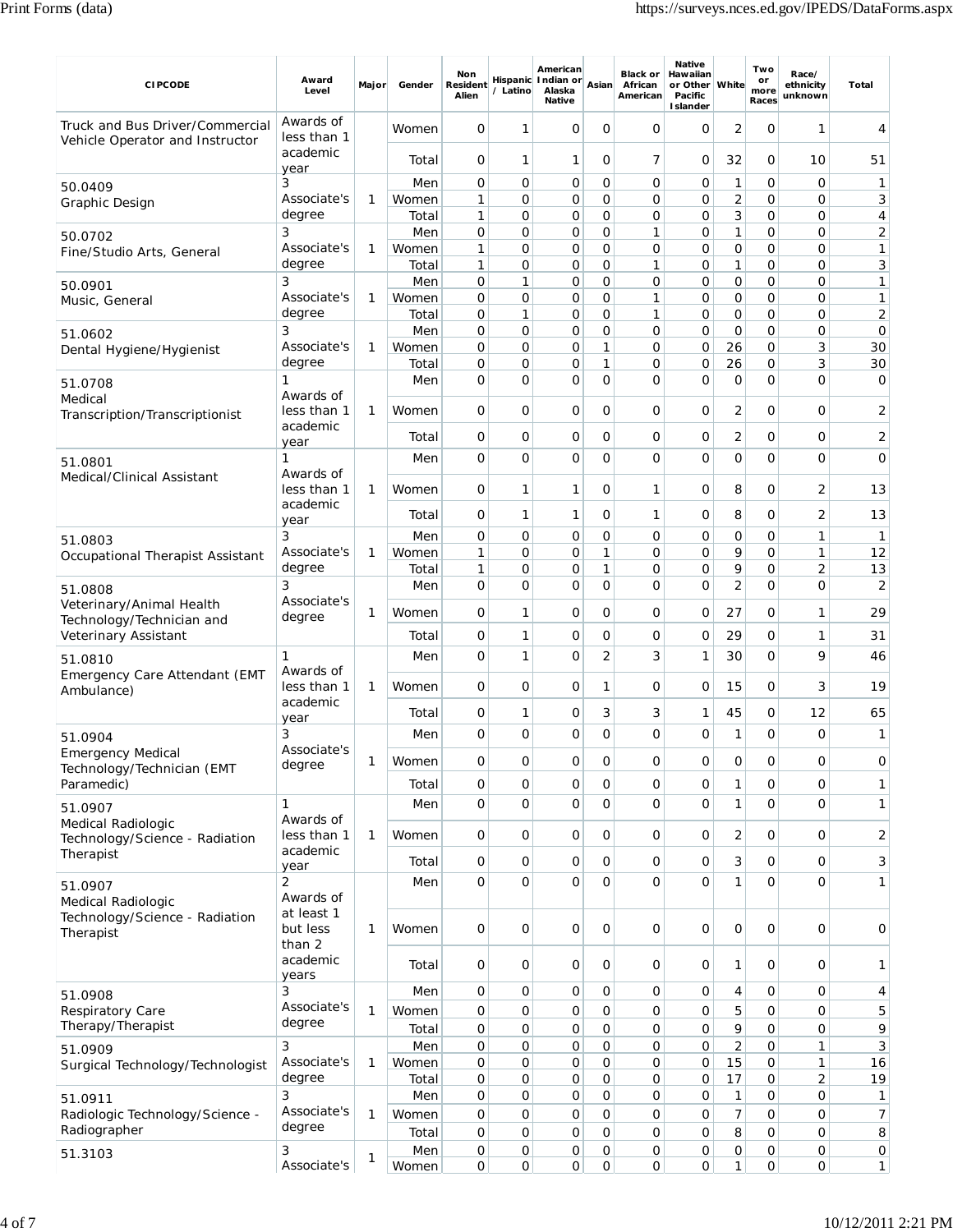| <b>CIPCODE</b>                                                     | Award<br>Level                   | Major | Gender         | Non<br><b>Resident</b><br>Alien | / Latino | American<br>Hispanic Indian or<br>Alaska<br><b>Native</b> | Asian               | <b>Black or</b><br>African<br>American | <b>Native</b><br>Hawaiian<br>or Other White<br>Pacific<br><b>Islander</b> |                   | Two<br>or<br>more<br>Races    | Race/<br>ethnicity<br>unknown | Total                |
|--------------------------------------------------------------------|----------------------------------|-------|----------------|---------------------------------|----------|-----------------------------------------------------------|---------------------|----------------------------------------|---------------------------------------------------------------------------|-------------------|-------------------------------|-------------------------------|----------------------|
| Truck and Bus Driver/Commercial<br>Vehicle Operator and Instructor | Awards of<br>less than 1         |       | Women          | 0                               | 1        | $\mathbf 0$                                               | 0                   | O                                      | O                                                                         | 2                 | O                             | 1                             | 4                    |
|                                                                    | academic<br>year                 |       | Total          | 0                               | 1        | 1                                                         | 0                   | 7                                      | 0                                                                         | 32                | 0                             | 10                            | 51                   |
| 50.0409                                                            | 3                                |       | Men            | 0                               | 0        | 0                                                         | $\mathbf 0$         | $\mathbf 0$                            | 0                                                                         | 1                 | $\mathbf 0$                   | 0                             | 1                    |
| Graphic Design                                                     | Associate's                      | 1     | Women          | $\mathbf{1}$                    | 0        | 0                                                         | $\mathbf 0$         | $\mathbf 0$                            | O                                                                         | $\overline{c}$    | $\overline{O}$                | 0                             | 3                    |
|                                                                    | degree<br>3                      |       | Total<br>Men   | 1<br>0                          | 0<br>0   | 0<br>0                                                    | 0<br>0              | 0<br>$\mathbf{1}$                      | 0<br>O                                                                    | 3<br>1            | $\mathbf 0$<br>$\mathbf 0$    | 0<br>0                        | 4<br>2               |
| 50.0702<br>Fine/Studio Arts, General                               | Associate's                      | 1     | Women          | 1                               | 0        | 0                                                         | 0                   | $\mathbf 0$                            | 0                                                                         | 0                 | 0                             | 0                             | 1                    |
|                                                                    | degree                           |       | Total          | $\mathbf{1}$                    | 0        | 0                                                         | $\mathbf 0$         | $\mathbf{1}$                           | 0                                                                         | 1                 | $\mathbf 0$                   | 0                             | 3                    |
| 50.0901                                                            | 3                                |       | Men            | 0                               | 1        | 0                                                         | 0                   | $\mathbf 0$                            | 0                                                                         | $\mathbf{O}$      | $\mathbf 0$                   | 0                             | 1                    |
| Music, General                                                     | Associate's<br>degree            | 1     | Women<br>Total | 0<br>0                          | 0<br>1   | 0<br>0                                                    | 0<br>0              | $\mathbf{1}$<br>$\mathbf{1}$           | 0<br>0                                                                    | 0<br>$\mathbf{O}$ | $\mathbf 0$<br>$\mathbf 0$    | 0<br>0                        | 1<br>$\overline{2}$  |
| 51.0602                                                            | 3                                |       | Men            | 0                               | 0        | 0                                                         | $\mathbf 0$         | $\mathbf 0$                            | 0                                                                         | $\mathbf{O}$      | $\mathbf 0$                   | 0                             | 0                    |
| Dental Hygiene/Hygienist                                           | Associate's                      | 1     | Women          | 0                               | 0        | 0                                                         | 1                   | $\mathbf 0$                            | 0                                                                         | 26                | $\mathbf 0$                   | 3                             | 30                   |
|                                                                    | degree                           |       | Total          | 0                               | 0        | 0                                                         | 1                   | 0                                      | 0                                                                         | 26                | 0                             | 3                             | 30                   |
| 51.0708                                                            | 1                                |       | Men            | 0                               | 0        | 0                                                         | $\Omega$            | O                                      | O                                                                         | 0                 | $\overline{O}$                | $\mathbf 0$                   | $\mathbf 0$          |
| Medical                                                            | Awards of<br>less than 1         | 1     | Women          | 0                               | 0        | 0                                                         | 0                   | 0                                      | 0                                                                         | 2                 | 0                             | 0                             | 2                    |
| Transcription/Transcriptionist                                     | academic                         |       |                |                                 |          |                                                           |                     |                                        |                                                                           |                   |                               |                               |                      |
|                                                                    | year                             |       | Total          | 0                               | 0        | 0                                                         | O                   | 0                                      | 0                                                                         | 2                 | 0                             | 0                             | 2                    |
| 51.0801<br>Medical/Clinical Assistant                              | 1<br>Awards of                   |       | Men            | 0                               | 0        | O                                                         | $\mathbf 0$         | $\overline{O}$                         | O                                                                         | $\mathbf{O}$      | O                             | 0                             | $\mathbf 0$          |
|                                                                    | less than 1<br>academic          | 1     | Women          | 0                               | 1        | 1                                                         | O                   | 1                                      | O                                                                         | 8                 | O                             | $\overline{2}$                | 13                   |
|                                                                    | year                             |       | Total          | 0                               | 1        | 1                                                         | 0                   | 1                                      | 0                                                                         | 8                 | $\mathbf 0$                   | $\overline{2}$                | 13                   |
| 51.0803                                                            | 3                                |       | Men            | 0                               | 0        | 0                                                         | 0                   | $\mathbf 0$                            | 0                                                                         | 0                 | $\mathbf 0$                   | 1                             | 1                    |
| Occupational Therapist Assistant                                   | Associate's<br>degree            | 1     | Women          | 1                               | 0        | 0                                                         | 1                   | $\mathbf 0$                            | 0                                                                         | 9<br>9            | $\mathbf 0$                   | 1                             | 12                   |
| 51.0808                                                            | 3                                |       | Total<br>Men   | 1<br>0                          | 0<br>0   | 0<br>O                                                    | 1<br>0              | 0<br>$\mathbf 0$                       | 0<br>$\Omega$                                                             | $\overline{2}$    | $\mathbf 0$<br>$\overline{O}$ | $\overline{2}$<br>0           | 13<br>$\overline{2}$ |
| Veterinary/Animal Health                                           | Associate's                      | 1     | Women          | 0                               | 1        | 0                                                         | 0                   | O                                      | 0                                                                         | 27                | 0                             | 1                             | 29                   |
| Technology/Technician and                                          | degree                           |       |                |                                 |          |                                                           |                     |                                        |                                                                           |                   |                               |                               |                      |
| Veterinary Assistant                                               |                                  |       | Total          | 0                               | 1        | 0                                                         | 0<br>$\overline{2}$ | 0                                      | 0                                                                         | 29                | $\mathbf 0$                   | 1<br>9                        | 31                   |
| 51.0810<br>Emergency Care Attendant (EMT                           | 1<br>Awards of                   |       | Men            | 0                               | 1        | $\circ$                                                   |                     | 3                                      | 1                                                                         | 30                | $\overline{O}$                |                               | 46                   |
| Ambulance)                                                         | less than 1<br>academic          | 1     | Women          | 0                               | 0        | 0                                                         | 1                   | $\mathbf 0$                            | 0                                                                         | 15                | 0                             | 3                             | 19                   |
|                                                                    | year                             |       | Total          | 0                               | 1        | 0                                                         | 3                   | 3                                      | 1                                                                         | 45                | 0                             | 12                            | 65                   |
| 51.0904                                                            | 3<br>Associate's                 |       | Men            | 0                               | 0        | $\Omega$                                                  | $\Omega$            | $\Omega$                               | O                                                                         | 1                 | O                             | $\mathbf 0$                   | 1                    |
| <b>Emergency Medical</b><br>Technology/Technician (EMT             | degree                           | 1     | Women          | 0                               | 0        | 0                                                         | 0                   | $\mathbf 0$                            | 0                                                                         | 0                 | $\mathbf 0$                   | 0                             | 0                    |
| Paramedic)                                                         |                                  |       | Total          | 0                               | 0        | 0                                                         | 0                   | 0                                      | 0                                                                         | 1                 | $\mathbf 0$                   | 0                             | 1                    |
| 51.0907                                                            | 1                                |       | Men            | 0                               | 0        | $\mathsf{O}$                                              | $\Omega$            | $\overline{O}$                         | $\Omega$                                                                  | 1                 | $\overline{0}$                | $\mathbf 0$                   | 1                    |
| Medical Radiologic<br>Technology/Science - Radiation               | Awards of<br>less than 1         | 1     | Women          | 0                               | 0        | 0                                                         | 0                   | O                                      | 0                                                                         | 2                 | $\mathbf 0$                   | 0                             | 2                    |
| Therapist                                                          | academic<br>year                 |       | Total          | 0                               | 0        | 0                                                         | 0                   | $\mathbf 0$                            | 0                                                                         | 3                 | $\mathbf 0$                   | 0                             | 3                    |
| 51.0907                                                            | $\overline{2}$<br>Awards of      |       | Men            | 0                               | 0        | $\mathbf{O}$                                              | $\mathbf 0$         | $\overline{0}$                         | 0                                                                         | 1                 | $\mathbf 0$                   | $\overline{O}$                | 1                    |
| Medical Radiologic<br>Technology/Science - Radiation<br>Therapist  | at least 1<br>but less<br>than 2 | 1     | Women          | 0                               | 0        | $\mathbf 0$                                               | $\mathbf 0$         | $\mathbf 0$                            | 0                                                                         | $\mathbf{O}$      | $\mathbf 0$                   | 0                             | 0                    |
|                                                                    | academic<br>years                |       | Total          | 0                               | 0        | $\mathbf 0$                                               | $\mathbf 0$         | O                                      | 0                                                                         | 1                 | $\overline{O}$                | 0                             | 1                    |
| 51.0908                                                            | 3                                |       | Men            | 0                               | 0        | 0                                                         | 0                   | $\mathbf 0$                            | 0                                                                         | 4                 | $\mathbf 0$                   | 0                             | 4                    |
| Respiratory Care                                                   | Associate's                      | 1     | Women          | 0                               | 0        | 0                                                         | $\mathbf 0$         | $\mathbf 0$                            | 0                                                                         | 5                 | $\mathbf 0$                   | 0                             | 5                    |
| Therapy/Therapist                                                  | degree                           |       | Total          | 0                               | 0        | 0                                                         | $\mathbf 0$         | $\mathbf 0$                            | 0                                                                         | 9                 | $\mathbf 0$                   | 0                             | 9                    |
| 51.0909                                                            | 3                                |       | Men            | 0                               | 0        | 0                                                         | $\mathbf 0$         | 0                                      | 0                                                                         | 2                 | 0                             | 1                             | 3                    |
| Surgical Technology/Technologist                                   | Associate's<br>degree            | 1     | Women          | 0                               | 0        | 0                                                         | $\mathbf 0$         | $\overline{O}$                         | 0                                                                         | 15                | 0                             | $\mathbf{1}$                  | 16                   |
|                                                                    | 3                                |       | Total<br>Men   | 0<br>0                          | 0<br>0   | 0<br>0                                                    | $\mathsf{O}$<br>0   | 0<br>0                                 | 0<br>0                                                                    | 17<br>1           | 0<br>0                        | $\overline{2}$<br>0           | 19<br>1              |
| 51.0911<br>Radiologic Technology/Science -                         | Associate's                      | 1     | Women          | 0                               | 0        | 0                                                         | 0                   | $\mathbf 0$                            | 0                                                                         | 7                 | $\mathbf 0$                   | 0                             | 7                    |
| Radiographer                                                       | degree                           |       | Total          | 0                               | 0        | 0                                                         | $\mathbf 0$         | $\mathbf 0$                            | 0                                                                         | 8                 | $\mathbf 0$                   | 0                             | 8                    |
| 51.3103                                                            | 3                                | 1     | Men            | 0                               | 0        | 0                                                         | 0                   | $\overline{O}$                         | 0                                                                         | 0                 | $\mathsf{O}\xspace$           | 0                             | $\overline{O}$       |
|                                                                    | Associate's                      |       | Women          | 0                               | 0        | 0                                                         | 0                   | 0                                      | 0                                                                         | 1                 | 0                             | 0                             | 1                    |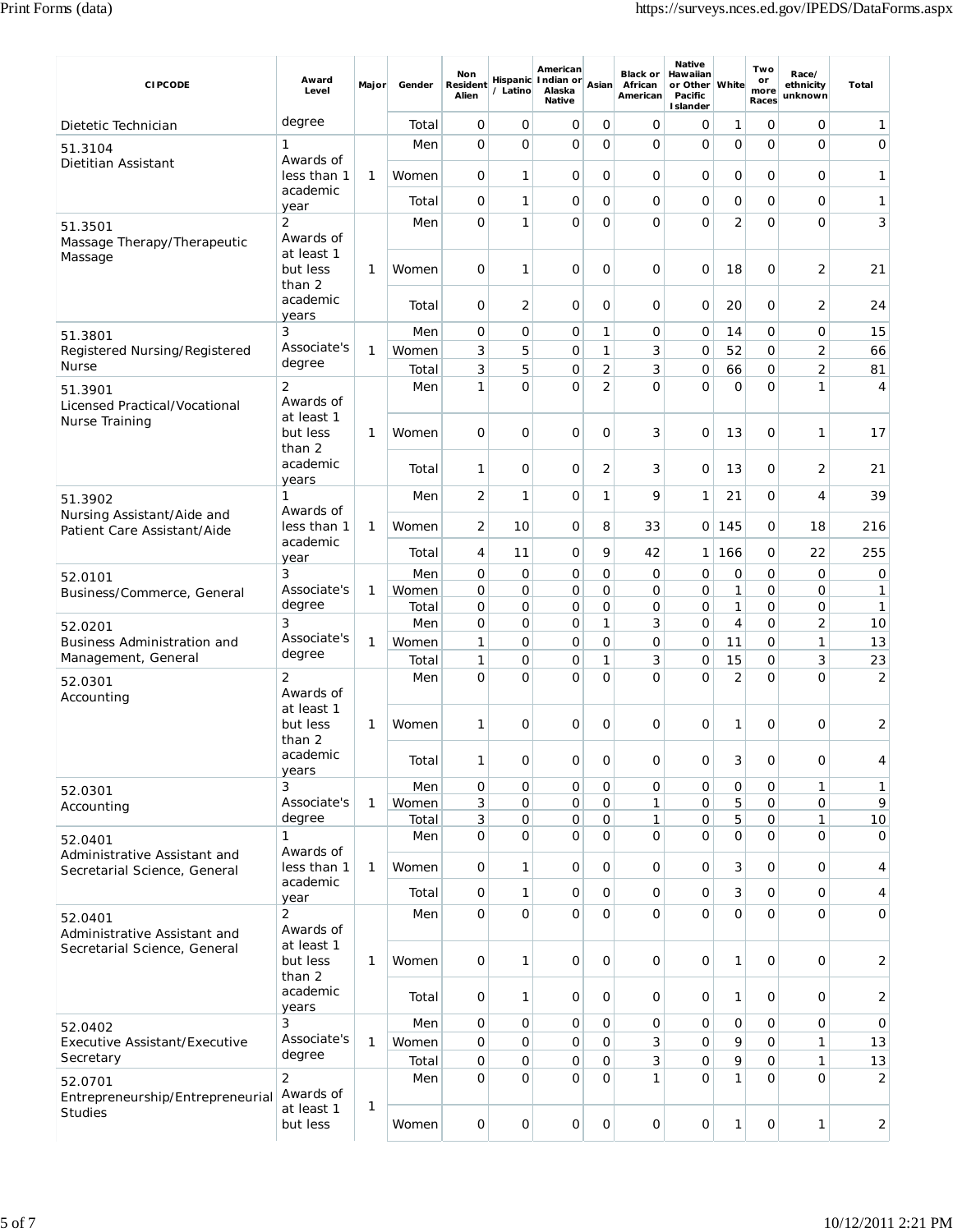| <b>CIPCODE</b>                                               | Award<br>Level                                | Major        | Gender         | Non<br>Resident<br>Alien | / Latino            | American<br>Hispanic Indian or<br>Alaska<br><b>Native</b> | Asian                            | <b>Black or</b><br>African<br>American | <b>Native</b><br>Hawaiian<br>or Other   White<br>Pacific<br><b>Islander</b> |                     | Two<br>or<br>more<br>Races       | Race/<br>ethnicity<br>unknown  | Total                |
|--------------------------------------------------------------|-----------------------------------------------|--------------|----------------|--------------------------|---------------------|-----------------------------------------------------------|----------------------------------|----------------------------------------|-----------------------------------------------------------------------------|---------------------|----------------------------------|--------------------------------|----------------------|
| Dietetic Technician                                          | degree                                        |              | Total          | 0                        | 0                   | 0                                                         | 0                                | 0                                      | 0                                                                           | 1                   | O                                | 0                              | 1                    |
| 51.3104                                                      | 1                                             |              | Men            | 0                        | $\overline{O}$      | $\mathbf 0$                                               | $\mathbf 0$                      | 0                                      | 0                                                                           | 0                   | $\overline{O}$                   | $\overline{0}$                 | 0                    |
| Dietitian Assistant                                          | Awards of<br>less than 1                      | 1            | Women          | O                        | 1                   | 0                                                         | O                                | 0                                      | 0                                                                           | 0                   | 0                                | 0                              | 1                    |
|                                                              | academic<br>year                              |              | Total          | 0                        | 1                   | 0                                                         | $\mathbf 0$                      | 0                                      | 0                                                                           | $\mathbf 0$         | $\mathbf 0$                      | 0                              | 1                    |
| 51.3501                                                      | 2                                             |              | Men            | 0                        | 1                   | $\overline{O}$                                            | $\overline{O}$                   | $\Omega$                               | 0                                                                           | 2                   | $\overline{O}$                   | $\mathbf 0$                    | 3                    |
| Massage Therapy/Therapeutic<br>Massage                       | Awards of<br>at least 1<br>but less<br>than 2 | 1            | Women          | 0                        | 1                   | $\circ$                                                   | O                                | 0                                      | 0                                                                           | 18                  | O                                | 2                              | 21                   |
|                                                              | academic<br>years                             |              | Total          | 0                        | 2                   | 0                                                         | 0                                | 0                                      | 0                                                                           | 20                  | 0                                | $\overline{2}$                 | 24                   |
| 51.3801                                                      | 3                                             |              | Men            | 0                        | 0                   | 0                                                         | $\mathbf{1}$                     | 0                                      | 0                                                                           | 14                  | 0                                | 0                              | 15                   |
| Registered Nursing/Registered<br>Nurse                       | Associate's<br>degree                         | $\mathbf{1}$ | Women          | 3                        | 5                   | $\mathbf 0$                                               | $\mathbf{1}$                     | 3                                      | 0                                                                           | 52                  | $\mathbf 0$                      | $\overline{2}$                 | 66                   |
| 51.3901                                                      | 2                                             |              | Total<br>Men   | 3<br>1                   | 5<br>0              | 0<br>O                                                    | $\overline{2}$<br>$\overline{2}$ | 3<br>0                                 | 0<br>0                                                                      | 66<br>$\mathbf 0$   | $\mathbf 0$<br>$\mathbf 0$       | $\overline{2}$<br>$\mathbf{1}$ | 81<br>$\overline{4}$ |
| Licensed Practical/Vocational<br><b>Nurse Training</b>       | Awards of<br>at least 1<br>but less<br>than 2 | 1            | Women          | 0                        | 0                   | 0                                                         | O                                | 3                                      | 0                                                                           | 13                  | O                                | 1                              | 17                   |
|                                                              | academic<br>years                             |              | Total          | 1                        | 0                   | 0                                                         | $\overline{2}$                   | 3                                      | 0                                                                           | 13                  | 0                                | $\overline{2}$                 | 21                   |
| 51.3902                                                      | 1                                             |              | Men            | 2                        | 1                   | 0                                                         | $\mathbf{1}$                     | 9                                      | 1                                                                           | 21                  | O                                | 4                              | 39                   |
| Nursing Assistant/Aide and<br>Patient Care Assistant/Aide    | Awards of<br>less than 1                      | 1            | Women          | 2                        | 10                  | 0                                                         | 8                                | 33                                     | 0                                                                           | 145                 | $\mathbf 0$                      | 18                             | 216                  |
|                                                              | academic                                      |              | Total          | 4                        | 11                  | 0                                                         | 9                                | 42                                     | 1 <sup>1</sup>                                                              | 166                 | 0                                | 22                             | 255                  |
| 52.0101                                                      | year<br>3                                     |              | Men            | 0                        | 0                   | 0                                                         | $\mathbf 0$                      | $\mathsf{O}$                           | 0                                                                           | $\mathbf{O}$        | $\mathbf 0$                      | 0                              | 0                    |
| Business/Commerce, General                                   | Associate's<br>degree                         | 1            | Women          | 0                        | 0                   | 0                                                         | 0                                | 0                                      | 0                                                                           | 1                   | $\mathbf 0$                      | 0                              | $\mathbf{1}$         |
| 52.0201                                                      | 3                                             |              | Total<br>Men   | 0<br>O                   | 0<br>$\overline{O}$ | 0<br>0                                                    | 0<br>1                           | 0<br>3                                 | 0<br>0                                                                      | 1<br>$\overline{4}$ | $\overline{O}$<br>$\overline{O}$ | 0<br>$\overline{2}$            | 1<br>10              |
| <b>Business Administration and</b>                           | Associate's                                   | 1            | Women          | 1                        | 0                   | 0                                                         | 0                                | 0                                      | 0                                                                           | 11                  | O                                | 1                              | 13                   |
| Management, General                                          | degree                                        |              | Total          | 1                        | 0                   | 0                                                         | $\mathbf{1}$                     | 3                                      | 0                                                                           | 15                  | $\mathbf 0$                      | 3                              | 23                   |
| 52.0301<br>Accounting                                        | 2<br>Awards of<br>at least 1<br>but less      |              | Men<br>Women   | $\Omega$                 | $\Omega$<br>0       | $\Omega$<br>0                                             | $\Omega$<br>O                    | $\Omega$<br>0                          | 0<br>0                                                                      | $\overline{2}$<br>1 | $\overline{O}$<br>O              | $\Omega$<br>0                  | 2                    |
|                                                              | than 2<br>academic                            | 1            |                | 1                        |                     |                                                           |                                  |                                        |                                                                             |                     |                                  |                                | 2                    |
|                                                              | years                                         |              | Total          | 1                        | $\mathsf{O}$        | $\mathsf{O}$                                              | $\mathsf{O}$                     | 0                                      | 0                                                                           | 3                   | 0                                | 0                              | 4                    |
| 52.0301                                                      | 3<br>Associate's                              | $\mathbf{1}$ | Men<br>Women   | $\mathbf 0$<br>3         | $\mathbf{O}$<br>0   | $\mathsf{O}$<br>$\mathsf{O}$                              | $\mathbf 0$<br>$\mathsf{O}$      | 0<br>1                                 | 0<br>0                                                                      | $\mathbf{O}$<br>5   | 0<br>0                           | 1<br>0                         | $\mathbf{1}$<br>9    |
| Accounting                                                   | degree                                        |              | Total          | 3                        | $\mathbf{O}$        | $\mathsf{O}$                                              | $\mathbf 0$                      | $\mathbf{1}$                           | 0                                                                           | 5                   | $\mathbf 0$                      | 1                              | 10                   |
| 52.0401                                                      | 1                                             |              | Men            | $\mathsf{O}$             | 0                   | $\mathbf 0$                                               | $\mathbf 0$                      | O                                      | O                                                                           | $\Omega$            | $\mathbf{O}$                     | $\mathbf{O}$                   | 0                    |
| Administrative Assistant and<br>Secretarial Science, General | Awards of<br>less than 1                      | 1            | Women          | $\mathbf 0$              | 1                   | 0                                                         | $\mathbf 0$                      | 0                                      | 0                                                                           | 3                   | $\overline{O}$                   | 0                              | 4                    |
|                                                              | academic<br>year                              |              | Total          | 0                        | 1                   | $\mathsf{O}$                                              | $\mathbf 0$                      | 0                                      | 0                                                                           | 3                   | $\mathbf 0$                      | 0                              | 4                    |
| 52.0401<br>Administrative Assistant and                      | 2<br>Awards of                                |              | Men            | 0                        | $\mathbf{O}$        | $\mathbf 0$                                               | $\mathbf{O}$                     | $\mathbf 0$                            | 0                                                                           | $\Omega$            | $\mathbf{O}$                     | $\mathbf 0$                    | $\mathsf{O}$         |
| Secretarial Science, General                                 | at least 1<br>but less<br>than 2              | 1            | Women          | 0                        | 1                   | $\mathbf 0$                                               | $\mathbf 0$                      | 0                                      | 0                                                                           | 1                   | $\overline{O}$                   | 0                              | $\overline{2}$       |
|                                                              | academic<br>years                             |              | Total          | 0                        | 1                   | 0                                                         | 0                                | 0                                      | 0                                                                           | 1                   | O                                | 0                              | 2                    |
| 52.0402                                                      | 3<br>Associate's                              |              | Men            | $\mathsf{O}$             | $\mathsf{O}$        | $\mathsf{O}$                                              | $\mathbf 0$                      | $\mathbf 0$                            | 0                                                                           | $\mathbf 0$         | 0                                | 0                              | $\mathbf 0$          |
| Executive Assistant/Executive<br>Secretary                   | degree                                        | $\mathbf{1}$ | Women<br>Total | 0<br>0                   | 0<br>$\mathsf{O}$   | $\mathsf O$<br>$\mathsf O$                                | $\mathbf 0$<br>$\mathbf 0$       | 3<br>3                                 | 0<br>0                                                                      | 9<br>9              | 0<br>0                           | 1<br>1                         | 13<br>13             |
| 52.0701                                                      | 2                                             |              | Men            | $\mathbf 0$              | 0                   | $\mathbf{O}$                                              | $\mathbf 0$                      | $\mathbf{1}$                           | 0                                                                           | 1                   | $\mathbf{O}$                     | $\overline{0}$                 | $\overline{2}$       |
| Entrepreneurship/Entrepreneurial<br><b>Studies</b>           | Awards of<br>at least 1<br>but less           | 1            | Women          | $\mathsf O$              | 0                   | $\mathsf{O}$                                              | 0                                | 0                                      | 0                                                                           | 1                   | $\mathbf 0$                      | 1                              | 2                    |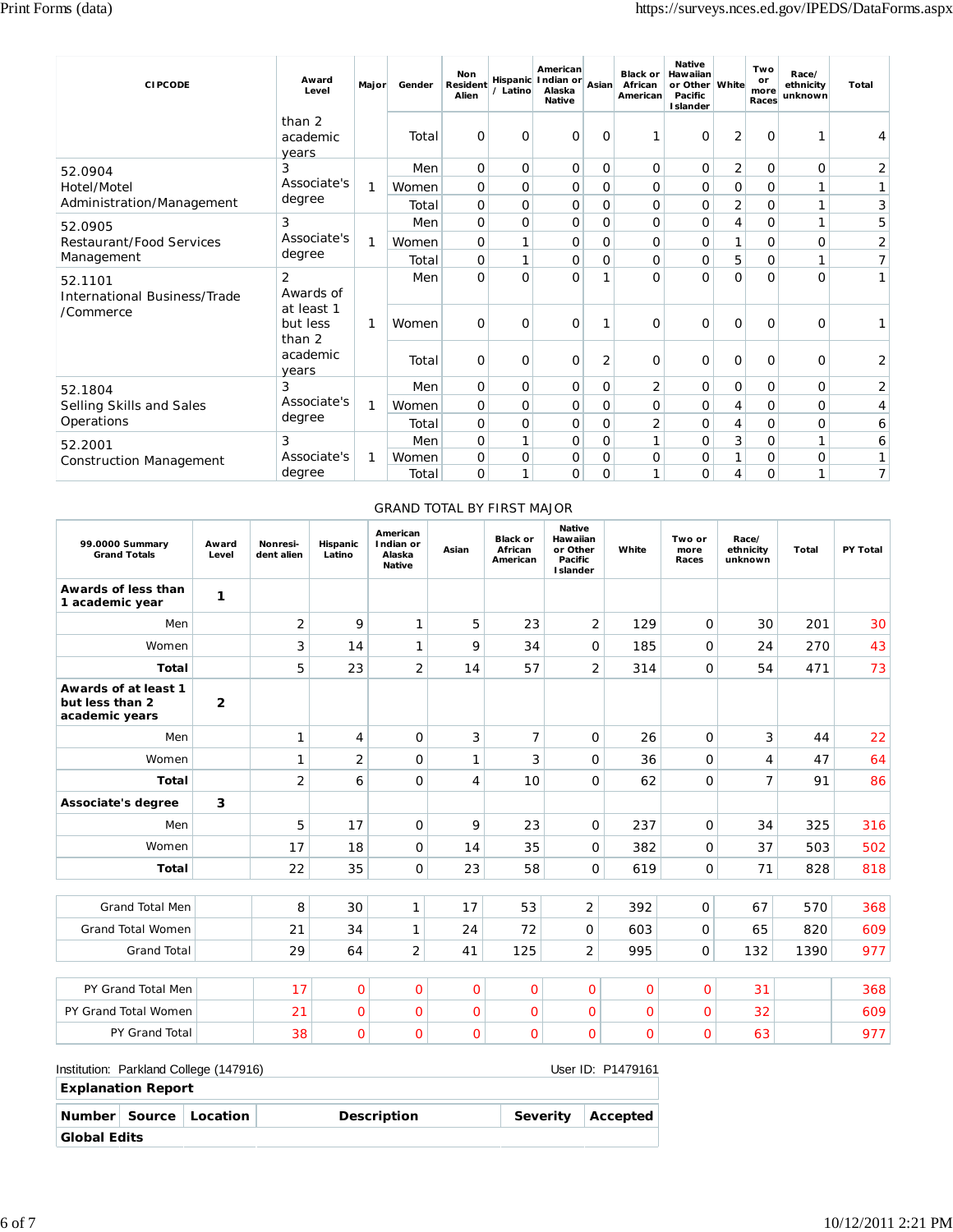| <b>CIPCODE</b>                                 | Award<br>Level                   | Major | Gender | <b>Non</b><br><b>Resident</b><br>Alien | / Latino     | American<br>Hispanic Indian or<br>Alaska<br><b>Native</b> | Asian        | <b>Black or</b><br>African<br>American | <b>Native</b><br>Hawaiian<br>or Other<br>Pacific<br><b>Islander</b> | <b>White</b>   | Two<br>or<br>more<br>Races | Race/<br>ethnicity<br>unknown | <b>Total</b>   |
|------------------------------------------------|----------------------------------|-------|--------|----------------------------------------|--------------|-----------------------------------------------------------|--------------|----------------------------------------|---------------------------------------------------------------------|----------------|----------------------------|-------------------------------|----------------|
|                                                | than 2<br>academic<br>years      |       | Total  | 0                                      | 0            | 0                                                         | $\circ$      |                                        | O                                                                   | $\overline{2}$ | 0                          | 1                             | 4              |
| 52.0904                                        | 3                                |       | Men    | 0                                      | 0            | 0                                                         | 0            | O                                      | 0                                                                   | 2              | 0                          | O                             | 2              |
| Hotel/Motel                                    | Associate's                      | 1     | Women  | 0                                      | 0            | 0                                                         | 0            | O                                      | 0                                                                   | 0              | 0                          | 1                             | 1              |
| Administration/Management                      | degree                           |       | Total  | $\mathbf{O}$                           | O            | 0                                                         | $\mathbf 0$  | $\overline{O}$                         | $\mathbf{O}$                                                        | $\overline{2}$ | 0                          | 1                             | 3              |
| 52.0905                                        | 3                                |       | Men    | 0                                      | O            | 0                                                         | $\mathbf 0$  | $\overline{O}$                         | 0                                                                   | 4              | 0                          | 1                             | 5              |
| Restaurant/Food Services                       | Associate's                      | 1     | Women  | 0                                      | 1            | 0                                                         | $\mathbf 0$  | O                                      | $\mathbf{O}$                                                        | 1              | 0                          | 0                             | 2              |
| Management                                     | degree                           |       | Total  | 0                                      | 1            | 0                                                         | $\mathbf{O}$ | $\overline{O}$                         | 0                                                                   | 5              | 0                          | 1                             | 7              |
| 52.1101<br><b>International Business/Trade</b> | $\overline{2}$<br>Awards of      |       | Men    | $\mathbf{O}$                           | O            | O                                                         |              | O                                      | $\Omega$                                                            | $\Omega$       | $\Omega$                   | 0                             | 1              |
| /Commerce                                      | at least 1<br>but less<br>than 2 | 1     | Women  | 0                                      | 0            | 0                                                         |              | 0                                      | O                                                                   | 0              | 0                          | 0                             |                |
|                                                | academic<br>years                |       | Total  | 0                                      | 0            | 0                                                         | 2            | 0                                      | 0                                                                   | O              | 0                          | 0                             | 2              |
| 52.1804                                        | 3                                |       | Men    | 0                                      | 0            | 0                                                         | $\mathbf 0$  | 2                                      | 0                                                                   | 0              | 0                          | 0                             | 2              |
| Selling Skills and Sales                       | Associate's                      | 1     | Women  | 0                                      | 0            | 0                                                         | 0            | $\mathbf 0$                            | 0                                                                   | 4              | 0                          | 0                             | 4              |
| Operations                                     | degree                           |       | Total  | 0                                      | 0            | 0                                                         | $\mathbf 0$  | 2                                      | 0                                                                   | 4              | 0                          | 0                             | 6              |
| 52.2001                                        | 3                                |       | Men    | 0                                      | $\mathbf{1}$ | 0                                                         | $\mathbf 0$  | 1                                      | 0                                                                   | 3              | 0                          | 1                             | 6              |
| <b>Construction Management</b>                 | Associate's                      | 1     | Women  | 0                                      | 0            | 0                                                         | 0            | O                                      | 0                                                                   |                | 0                          | 0                             | 1 <sup>1</sup> |
|                                                | degree                           |       | Total  | $\mathbf{O}$                           | 1            | 0                                                         | 0            | 1                                      | $\Omega$                                                            | 4              | 0                          | 1                             | 7 <sup>1</sup> |

## GRAND TOTAL BY FIRST MAJOR

| 99.0000 Summary<br><b>Grand Totals</b>                    | Award<br>Level | Nonresi-<br>dent alien | Hispanic<br>Latino | American<br>Indian or<br>Alaska<br><b>Native</b> | Asian | <b>Black or</b><br>African<br>American | <b>Native</b><br>Hawaiian<br>or Other<br>Pacific<br><b>I</b> slander | White          | Two or<br>more<br>Races | Race/<br>ethnicity<br>unknown | Total | PY Total |
|-----------------------------------------------------------|----------------|------------------------|--------------------|--------------------------------------------------|-------|----------------------------------------|----------------------------------------------------------------------|----------------|-------------------------|-------------------------------|-------|----------|
| Awards of less than<br>1 academic year                    | 1              |                        |                    |                                                  |       |                                        |                                                                      |                |                         |                               |       |          |
| Men                                                       |                | $\overline{2}$         | 9                  | $\mathbf{1}$                                     | 5     | 23                                     | $\overline{2}$                                                       | 129            | $\mathbf 0$             | 30                            | 201   | 30       |
| Women                                                     |                | 3                      | 14                 | $\mathbf{1}$                                     | 9     | 34                                     | $\mathbf{O}$                                                         | 185            | $\mathbf 0$             | 24                            | 270   | 43       |
| Total                                                     |                | 5                      | 23                 | $\overline{2}$                                   | 14    | 57                                     | $\overline{2}$                                                       | 314            | O                       | 54                            | 471   | 73       |
| Awards of at least 1<br>but less than 2<br>academic years | $\overline{2}$ |                        |                    |                                                  |       |                                        |                                                                      |                |                         |                               |       |          |
| Men                                                       |                | 1                      | 4                  | $\Omega$                                         | 3     | $\overline{7}$                         | 0                                                                    | 26             | $\mathbf 0$             | 3                             | 44    | 22       |
| Women                                                     |                | 1                      | $\overline{2}$     | 0                                                | 1     | 3                                      | $\mathbf{O}$                                                         | 36             | $\mathbf 0$             | 4                             | 47    | 64       |
| <b>Total</b>                                              |                | $\overline{2}$         | 6                  | $\overline{O}$                                   | 4     | 10                                     | $\mathbf{O}$                                                         | 62             | $\mathbf{O}$            | $\overline{7}$                | 91    | 86       |
| Associate's degree                                        | 3              |                        |                    |                                                  |       |                                        |                                                                      |                |                         |                               |       |          |
| Men                                                       |                | 5                      | 17                 | 0                                                | 9     | 23                                     | $\mathbf{O}$                                                         | 237            | $\mathbf 0$             | 34                            | 325   | 316      |
| Women                                                     |                | 17                     | 18                 | $\mathbf{O}$                                     | 14    | 35                                     | 0                                                                    | 382            | 0                       | 37                            | 503   | 502      |
| <b>Total</b>                                              |                | 22                     | 35                 | $\mathbf 0$                                      | 23    | 58                                     | $\mathbf{O}$                                                         | 619            | $\Omega$                | 71                            | 828   | 818      |
|                                                           |                |                        |                    |                                                  |       |                                        |                                                                      |                |                         |                               |       |          |
| <b>Grand Total Men</b>                                    |                | 8                      | 30                 | $\mathbf{1}$                                     | 17    | 53                                     | $\overline{2}$                                                       | 392            | $\mathbf 0$             | 67                            | 570   | 368      |
| <b>Grand Total Women</b>                                  |                | 21                     | 34                 | 1                                                | 24    | 72                                     | $\Omega$                                                             | 603            | $\mathbf 0$             | 65                            | 820   | 609      |
| <b>Grand Total</b>                                        |                | 29                     | 64                 | $\overline{2}$                                   | 41    | 125                                    | $\overline{2}$                                                       | 995            | 0                       | 132                           | 1390  | 977      |
| PY Grand Total Men                                        |                | 17                     | $\overline{O}$     | $\overline{0}$                                   | 0     | $\mathbf{O}$                           | 0                                                                    | $\overline{O}$ | $\mathbf 0$             | 31                            |       | 368      |
| PY Grand Total Women                                      |                | 21                     | $\overline{0}$     | $\overline{O}$                                   | Ō     | $\overline{O}$                         | $\overline{0}$                                                       | $\overline{0}$ | $\overline{O}$          | 32                            |       | 609      |
| <b>PY Grand Total</b>                                     |                | 38                     | $\overline{O}$     | $\overline{O}$                                   | Ō     | $\mathbf{O}$                           | $\overline{O}$                                                       | 0              | $\mathbf{O}$            | 63                            |       | 977      |

|                     |                           | Institution: Parkland College (147916) |                    |          | User ID: P1479161 |
|---------------------|---------------------------|----------------------------------------|--------------------|----------|-------------------|
|                     | <b>Explanation Report</b> |                                        |                    |          |                   |
|                     |                           | Number Source Location                 | <b>Description</b> | Severity | Accepted          |
| <b>Global Edits</b> |                           |                                        |                    |          |                   |